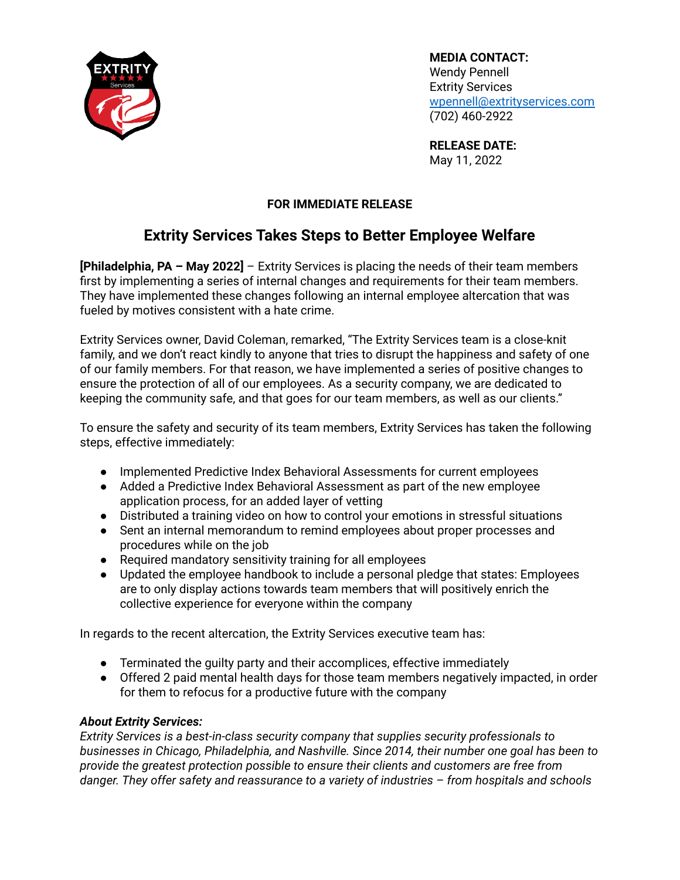

**MEDIA CONTACT:** Wendy Pennell Extrity Services [wpennell@extrityservices.com](mailto:wpennell@extrityservices.com) (702) 460-2922

**RELEASE DATE:** May 11, 2022

## **FOR IMMEDIATE RELEASE**

## **Extrity Services Takes Steps to Better Employee Welfare**

**[Philadelphia, PA – May 2022]** – Extrity Services is placing the needs of their team members first by implementing a series of internal changes and requirements for their team members. They have implemented these changes following an internal employee altercation that was fueled by motives consistent with a hate crime.

Extrity Services owner, David Coleman, remarked, "The Extrity Services team is a close-knit family, and we don't react kindly to anyone that tries to disrupt the happiness and safety of one of our family members. For that reason, we have implemented a series of positive changes to ensure the protection of all of our employees. As a security company, we are dedicated to keeping the community safe, and that goes for our team members, as well as our clients."

To ensure the safety and security of its team members, Extrity Services has taken the following steps, effective immediately:

- Implemented Predictive Index Behavioral Assessments for current employees
- Added a Predictive Index Behavioral Assessment as part of the new employee application process, for an added layer of vetting
- Distributed a training video on how to control your emotions in stressful situations
- Sent an internal memorandum to remind employees about proper processes and procedures while on the job
- Required mandatory sensitivity training for all employees
- Updated the employee handbook to include a personal pledge that states: Employees are to only display actions towards team members that will positively enrich the collective experience for everyone within the company

In regards to the recent altercation, the Extrity Services executive team has:

- Terminated the guilty party and their accomplices, effective immediately
- Offered 2 paid mental health days for those team members negatively impacted, in order for them to refocus for a productive future with the company

## *About Extrity Services:*

*Extrity Services is a best-in-class security company that supplies security professionals to businesses in Chicago, Philadelphia, and Nashville. Since 2014, their number one goal has been to provide the greatest protection possible to ensure their clients and customers are free from danger. They offer safety and reassurance to a variety of industries – from hospitals and schools*